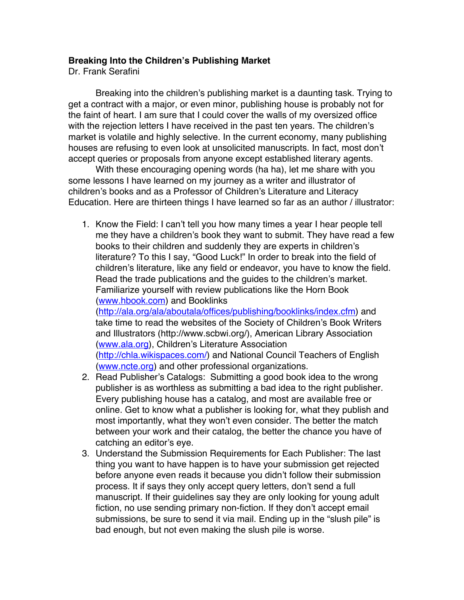## **Breaking Into the Children's Publishing Market**

Dr. Frank Serafini

Breaking into the children's publishing market is a daunting task. Trying to get a contract with a major, or even minor, publishing house is probably not for the faint of heart. I am sure that I could cover the walls of my oversized office with the rejection letters I have received in the past ten years. The children's market is volatile and highly selective. In the current economy, many publishing houses are refusing to even look at unsolicited manuscripts. In fact, most don't accept queries or proposals from anyone except established literary agents.

With these encouraging opening words (ha ha), let me share with you some lessons I have learned on my journey as a writer and illustrator of children's books and as a Professor of Children's Literature and Literacy Education. Here are thirteen things I have learned so far as an author / illustrator:

1. Know the Field: I can't tell you how many times a year I hear people tell me they have a children's book they want to submit. They have read a few books to their children and suddenly they are experts in children's literature? To this I say, "Good Luck!" In order to break into the field of children's literature, like any field or endeavor, you have to know the field. Read the trade publications and the guides to the children's market. Familiarize yourself with review publications like the Horn Book (www.hbook.com) and Booklinks

(http://ala.org/ala/aboutala/offices/publishing/booklinks/index.cfm) and take time to read the websites of the Society of Children's Book Writers and Illustrators (http://www.scbwi.org/), American Library Association (www.ala.org), Children's Literature Association (http://chla.wikispaces.com/) and National Council Teachers of English (www.ncte.org) and other professional organizations.

- 2. Read Publisher's Catalogs: Submitting a good book idea to the wrong publisher is as worthless as submitting a bad idea to the right publisher. Every publishing house has a catalog, and most are available free or online. Get to know what a publisher is looking for, what they publish and most importantly, what they won't even consider. The better the match between your work and their catalog, the better the chance you have of catching an editor's eye.
- 3. Understand the Submission Requirements for Each Publisher: The last thing you want to have happen is to have your submission get rejected before anyone even reads it because you didn't follow their submission process. It if says they only accept query letters, don't send a full manuscript. If their guidelines say they are only looking for young adult fiction, no use sending primary non-fiction. If they don't accept email submissions, be sure to send it via mail. Ending up in the "slush pile" is bad enough, but not even making the slush pile is worse.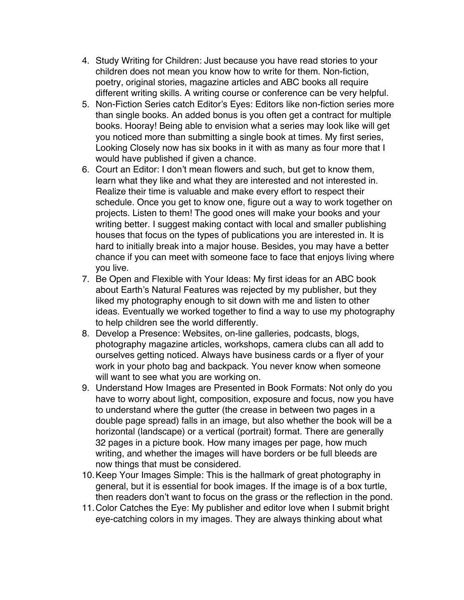- 4. Study Writing for Children: Just because you have read stories to your children does not mean you know how to write for them. Non-fiction, poetry, original stories, magazine articles and ABC books all require different writing skills. A writing course or conference can be very helpful.
- 5. Non-Fiction Series catch Editor's Eyes: Editors like non-fiction series more than single books. An added bonus is you often get a contract for multiple books. Hooray! Being able to envision what a series may look like will get you noticed more than submitting a single book at times. My first series, Looking Closely now has six books in it with as many as four more that I would have published if given a chance.
- 6. Court an Editor: I don't mean flowers and such, but get to know them, learn what they like and what they are interested and not interested in. Realize their time is valuable and make every effort to respect their schedule. Once you get to know one, figure out a way to work together on projects. Listen to them! The good ones will make your books and your writing better. I suggest making contact with local and smaller publishing houses that focus on the types of publications you are interested in. It is hard to initially break into a major house. Besides, you may have a better chance if you can meet with someone face to face that enjoys living where you live.
- 7. Be Open and Flexible with Your Ideas: My first ideas for an ABC book about Earth's Natural Features was rejected by my publisher, but they liked my photography enough to sit down with me and listen to other ideas. Eventually we worked together to find a way to use my photography to help children see the world differently.
- 8. Develop a Presence: Websites, on-line galleries, podcasts, blogs, photography magazine articles, workshops, camera clubs can all add to ourselves getting noticed. Always have business cards or a flyer of your work in your photo bag and backpack. You never know when someone will want to see what you are working on.
- 9. Understand How Images are Presented in Book Formats: Not only do you have to worry about light, composition, exposure and focus, now you have to understand where the gutter (the crease in between two pages in a double page spread) falls in an image, but also whether the book will be a horizontal (landscape) or a vertical (portrait) format. There are generally 32 pages in a picture book. How many images per page, how much writing, and whether the images will have borders or be full bleeds are now things that must be considered.
- 10.Keep Your Images Simple: This is the hallmark of great photography in general, but it is essential for book images. If the image is of a box turtle, then readers don't want to focus on the grass or the reflection in the pond.
- 11.Color Catches the Eye: My publisher and editor love when I submit bright eye-catching colors in my images. They are always thinking about what